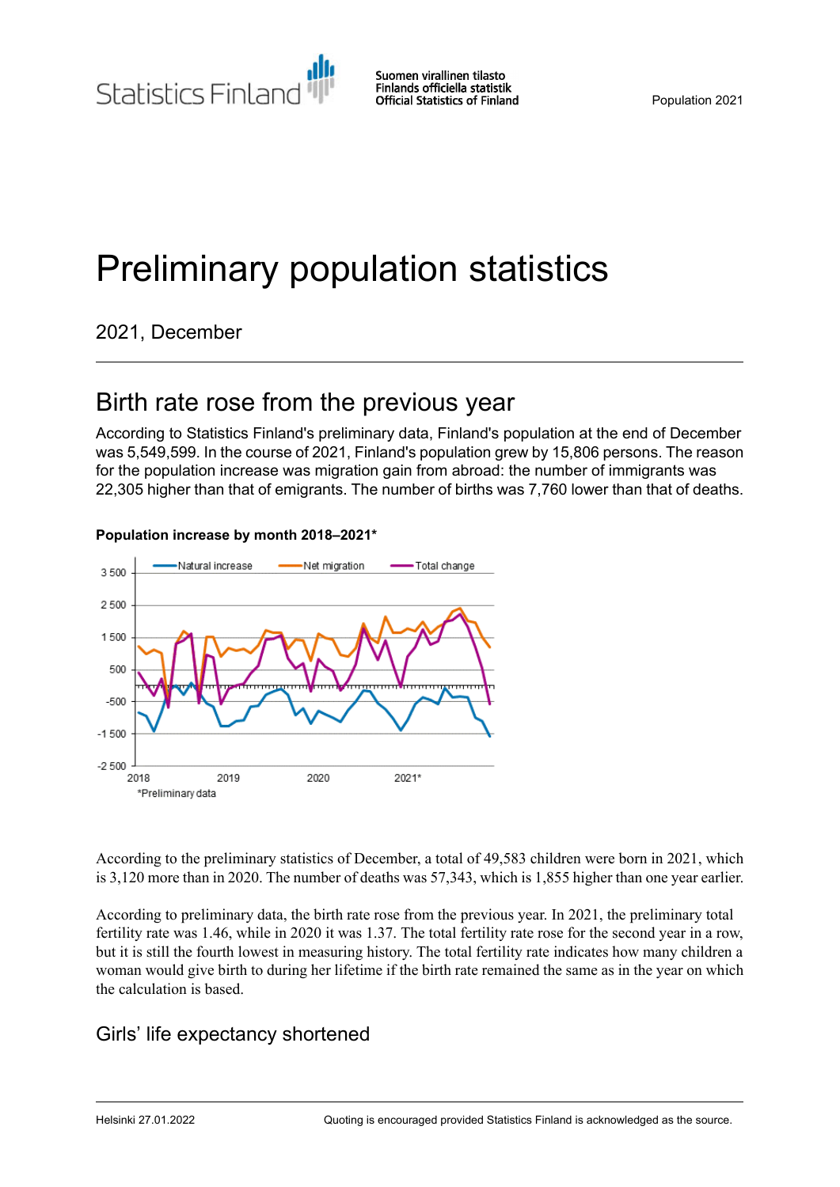Statistics Finland

Suomen virallinen tilasto Finlands officiella statistik **Official Statistics of Finland** 

# Preliminary population statistics

2021, December

## Birth rate rose from the previous year

According to Statistics Finland's preliminary data, Finland's population at the end of December was 5,549,599. In the course of 2021, Finland's population grew by 15,806 persons. The reason for the population increase was migration gain from abroad: the number of immigrants was 22,305 higher than that of emigrants. The number of births was 7,760 lower than that of deaths.



#### **Population increase by month 2018–2021\***

According to the preliminary statistics of December, a total of 49,583 children were born in 2021, which is 3,120 more than in 2020. The number of deaths was 57,343, which is 1,855 higher than one year earlier.

According to preliminary data, the birth rate rose from the previous year. In 2021, the preliminary total fertility rate was 1.46, while in 2020 it was 1.37. The total fertility rate rose for the second year in a row, but it is still the fourth lowest in measuring history. The total fertility rate indicates how many children a woman would give birth to during her lifetime if the birth rate remained the same as in the year on which the calculation is based.

## Girls' life expectancy shortened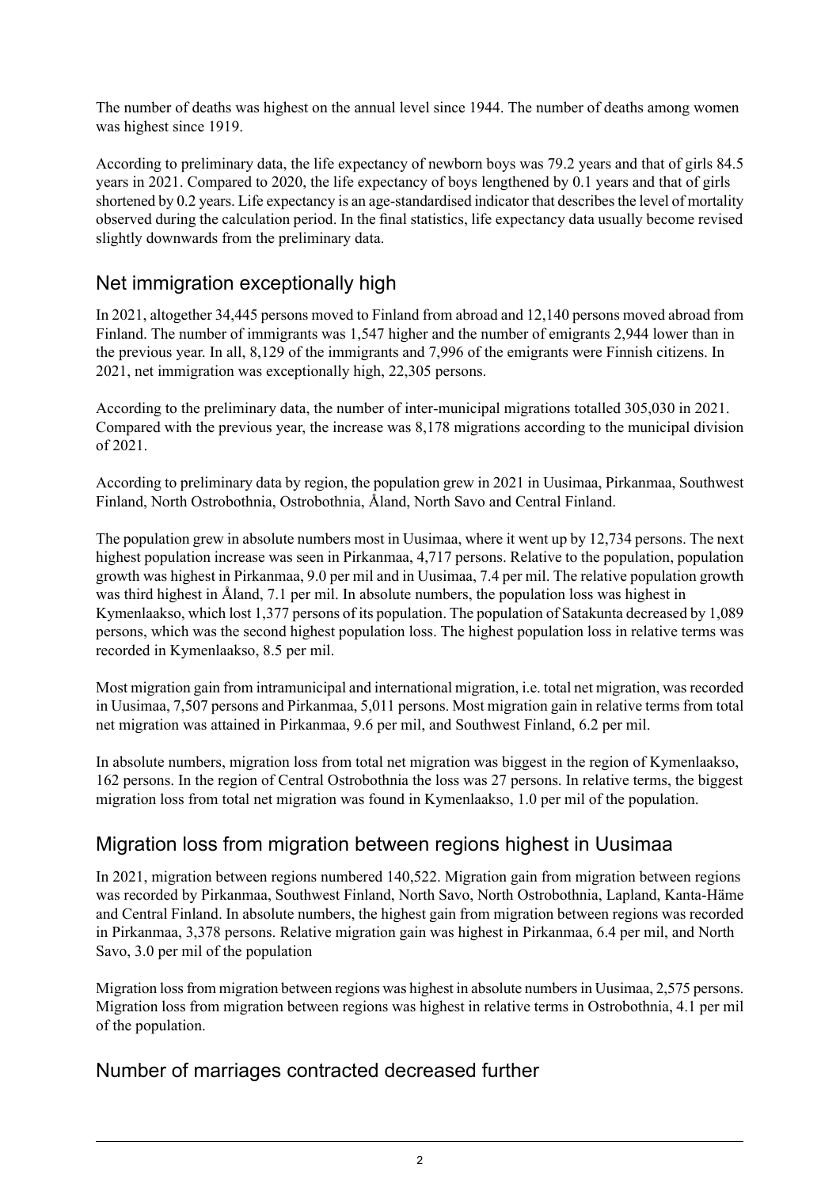The number of deaths was highest on the annual level since 1944. The number of deaths among women was highest since 1919.

According to preliminary data, the life expectancy of newborn boys was 79.2 years and that of girls 84.5 years in 2021. Compared to 2020, the life expectancy of boys lengthened by 0.1 years and that of girls shortened by 0.2 years. Life expectancy is an age-standardised indicator that describes the level of mortality observed during the calculation period. In the final statistics, life expectancy data usually become revised slightly downwards from the preliminary data.

## Net immigration exceptionally high

In 2021, altogether 34,445 persons moved to Finland from abroad and 12,140 persons moved abroad from Finland. The number of immigrants was 1,547 higher and the number of emigrants 2,944 lower than in the previous year. In all, 8,129 of the immigrants and 7,996 of the emigrants were Finnish citizens. In 2021, net immigration was exceptionally high, 22,305 persons.

According to the preliminary data, the number of inter-municipal migrations totalled 305,030 in 2021. Compared with the previous year, the increase was 8,178 migrations according to the municipal division of 2021.

According to preliminary data by region, the population grew in 2021 in Uusimaa, Pirkanmaa, Southwest Finland, North Ostrobothnia, Ostrobothnia, Åland, North Savo and Central Finland.

The population grew in absolute numbers most in Uusimaa, where it went up by 12,734 persons. The next highest population increase was seen in Pirkanmaa, 4,717 persons. Relative to the population, population growth was highest in Pirkanmaa, 9.0 per mil and in Uusimaa, 7.4 per mil. The relative population growth was third highest in Åland, 7.1 per mil. In absolute numbers, the population loss was highest in Kymenlaakso, which lost 1,377 persons of its population. The population of Satakunta decreased by 1,089 persons, which was the second highest population loss. The highest population loss in relative terms was recorded in Kymenlaakso, 8.5 per mil.

Most migration gain from intramunicipal and international migration, i.e. total net migration, was recorded in Uusimaa, 7,507 persons and Pirkanmaa, 5,011 persons. Most migration gain in relative terms from total net migration was attained in Pirkanmaa, 9.6 per mil, and Southwest Finland, 6.2 per mil.

In absolute numbers, migration loss from total net migration was biggest in the region of Kymenlaakso, 162 persons. In the region of Central Ostrobothnia the loss was 27 persons. In relative terms, the biggest migration loss from total net migration was found in Kymenlaakso, 1.0 per mil of the population.

## Migration loss from migration between regions highest in Uusimaa

In 2021, migration between regions numbered 140,522. Migration gain from migration between regions was recorded by Pirkanmaa, Southwest Finland, North Savo, North Ostrobothnia, Lapland, Kanta-Häme and Central Finland. In absolute numbers, the highest gain from migration between regions was recorded in Pirkanmaa, 3,378 persons. Relative migration gain was highest in Pirkanmaa, 6.4 per mil, and North Savo, 3.0 per mil of the population

Migration lossfrom migration between regions was highest in absolute numbersin Uusimaa, 2,575 persons. Migration loss from migration between regions was highest in relative terms in Ostrobothnia, 4.1 per mil of the population.

## Number of marriages contracted decreased further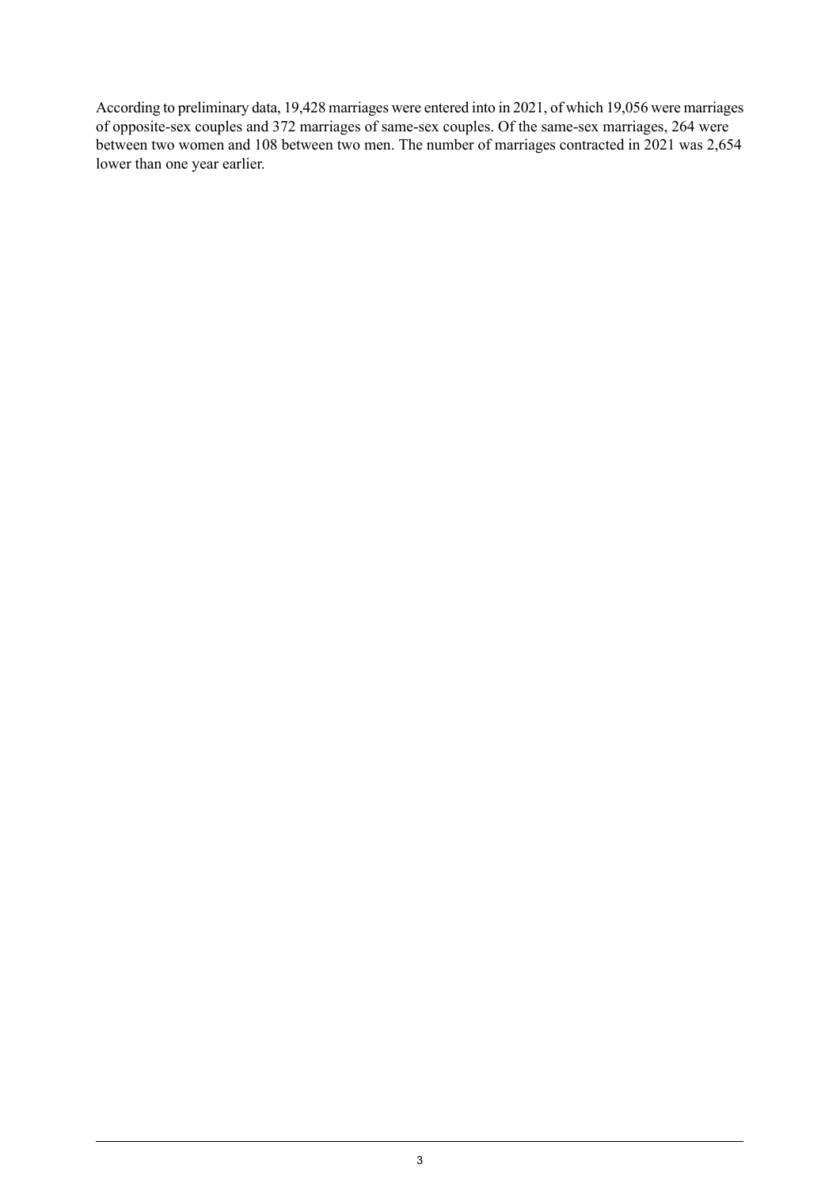According to preliminary data, 19,428 marriages were entered into in 2021, of which 19,056 were marriages of opposite-sex couples and 372 marriages of same-sex couples. Of the same-sex marriages, 264 were between two women and 108 between two men. The number of marriages contracted in 2021 was 2,654 lower than one year earlier.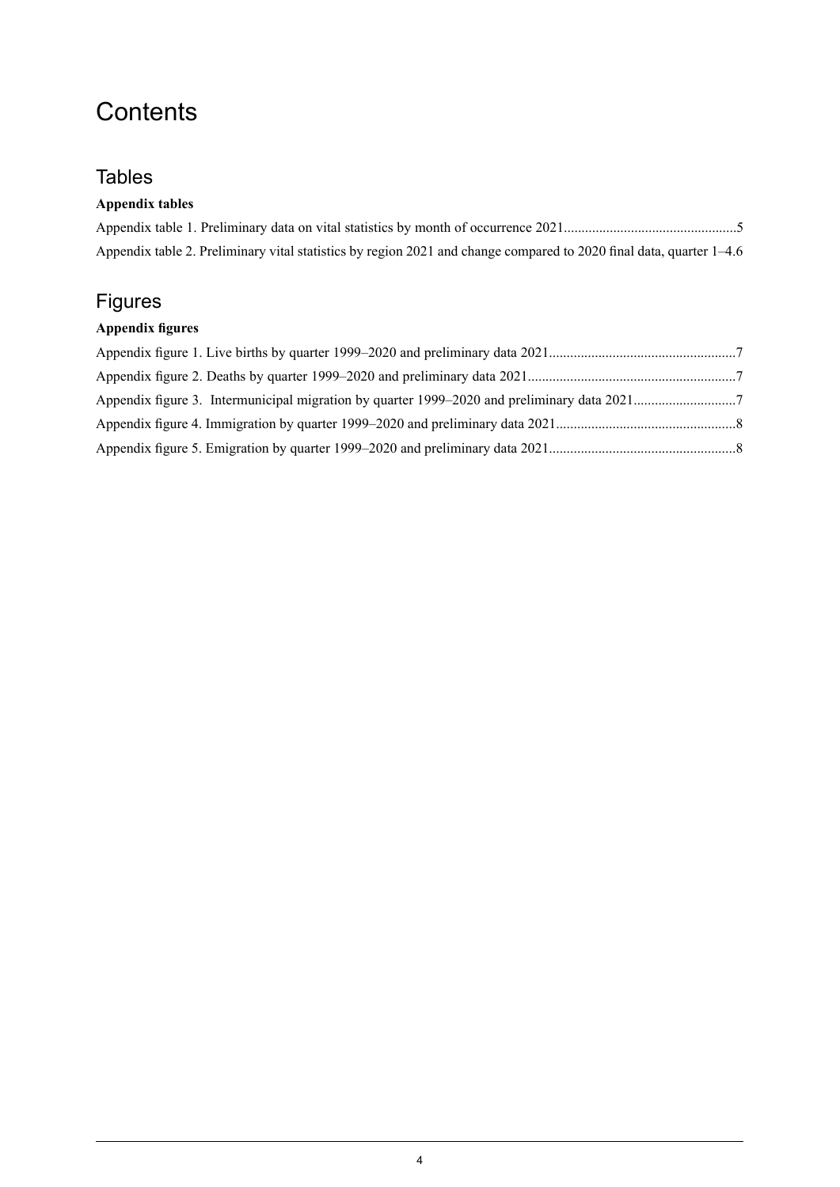## **Contents**

## **Tables**

#### **Appendix tables**

| Appendix table 2. Preliminary vital statistics by region 2021 and change compared to 2020 final data, quarter 1–4.6 |  |
|---------------------------------------------------------------------------------------------------------------------|--|

## Figures

## **Appendix figures**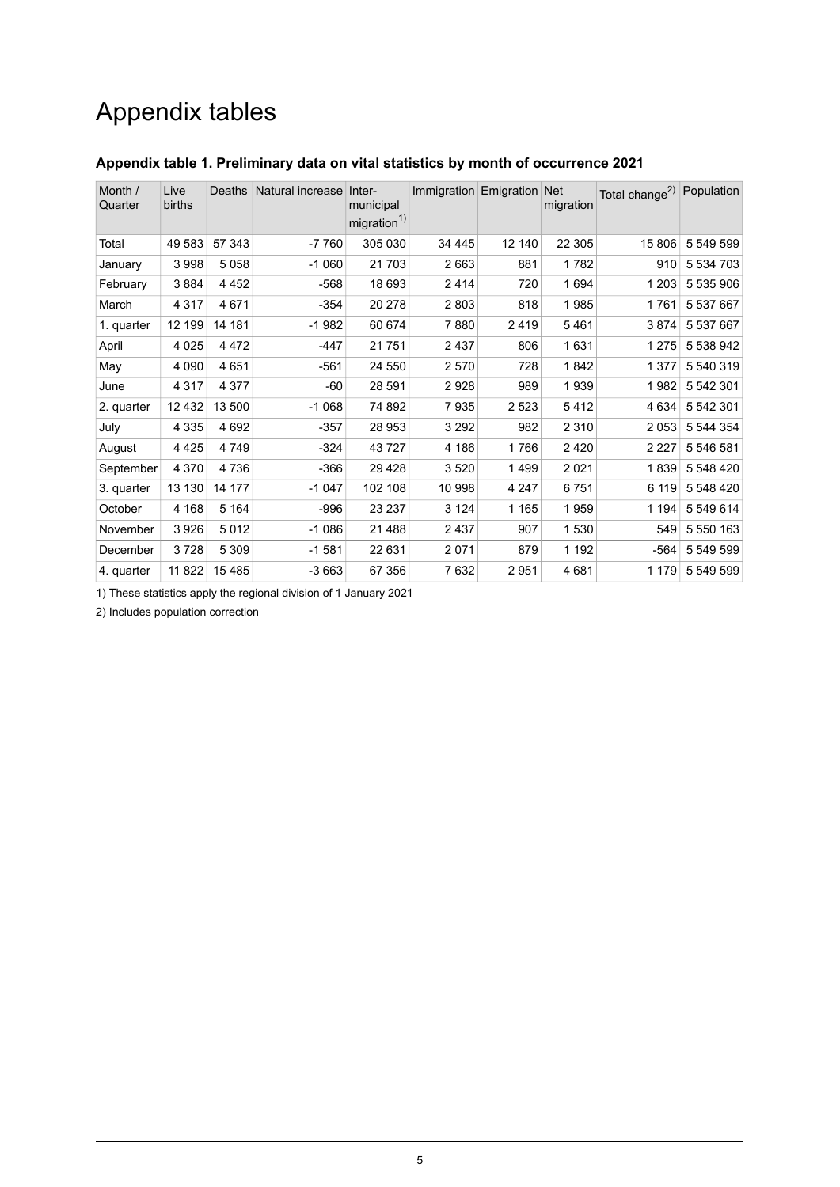## Appendix tables

| Month /<br>Quarter | Live<br>births | Deaths  | Natural increase Inter- | municipal<br>migration <sup>1)</sup> | Immigration Emigration Net |         | migration | Total change <sup>2)</sup> Population |           |
|--------------------|----------------|---------|-------------------------|--------------------------------------|----------------------------|---------|-----------|---------------------------------------|-----------|
| Total              | 49 583         | 57 343  | $-7760$                 | 305 030                              | 34 4 4 5                   | 12 140  | 22 305    | 15 806                                | 5 549 599 |
| January            | 3998           | 5058    | $-1060$                 | 21 703                               | 2663                       | 881     | 1782      | 910                                   | 5 534 703 |
| February           | 3884           | 4 4 5 2 | $-568$                  | 18 693                               | 2414                       | 720     | 1694      | 1 2 0 3                               | 5 535 906 |
| March              | 4 3 1 7        | 4671    | $-354$                  | 20 278                               | 2803                       | 818     | 1985      | 1761                                  | 5 537 667 |
| 1. quarter         | 12 199         | 14 181  | $-1982$                 | 60 674                               | 7880                       | 2419    | 5461      | 3874                                  | 5 537 667 |
| April              | 4 0 2 5        | 4472    | $-447$                  | 21 751                               | 2437                       | 806     | 1631      | 1 2 7 5                               | 5 538 942 |
| May                | 4 0 9 0        | 4651    | $-561$                  | 24 550                               | 2570                       | 728     | 1842      | 1 3 7 7                               | 5 540 319 |
| June               | 4 3 1 7        | 4 3 7 7 | $-60$                   | 28 591                               | 2928                       | 989     | 1939      | 1982                                  | 5 542 301 |
| 2. quarter         | 12 4 32        | 13 500  | $-1068$                 | 74 892                               | 7935                       | 2 5 2 3 | 5412      | 4 6 3 4                               | 5 542 301 |
| July               | 4 3 3 5        | 4692    | $-357$                  | 28 953                               | 3 2 9 2                    | 982     | 2 3 1 0   | 2053                                  | 5 544 354 |
| August             | 4425           | 4749    | $-324$                  | 43727                                | 4 186                      | 1766    | 2 4 2 0   | 2 2 2 7                               | 5 546 581 |
| September          | 4 3 7 0        | 4736    | $-366$                  | 29 4 28                              | 3520                       | 1499    | 2 0 21    | 1839                                  | 5 548 420 |
| 3. quarter         | 13 130         | 14 177  | $-1047$                 | 102 108                              | 10 998                     | 4 2 4 7 | 6751      | 6 119                                 | 5 548 420 |
| October            | 4 1 6 8        | 5 1 6 4 | -996                    | 23 237                               | 3 1 2 4                    | 1 1 6 5 | 1959      | 1 1 9 4                               | 5 549 614 |
| November           | 3926           | 5012    | $-1086$                 | 21 4 8 8                             | 2437                       | 907     | 1 530     | 549                                   | 5 550 163 |
| December           | 3728           | 5 3 0 9 | $-1581$                 | 22 631                               | 2071                       | 879     | 1 1 9 2   | $-564$                                | 5 549 599 |
| 4. quarter         | 11 822         | 15485   | $-3663$                 | 67 356                               | 7632                       | 2951    | 4681      | 1 1 7 9                               | 5 549 599 |

#### <span id="page-4-0"></span>**Appendix table 1. Preliminary data on vital statistics by month of occurrence 2021**

1) These statistics apply the regional division of 1 January 2021

2) Includes population correction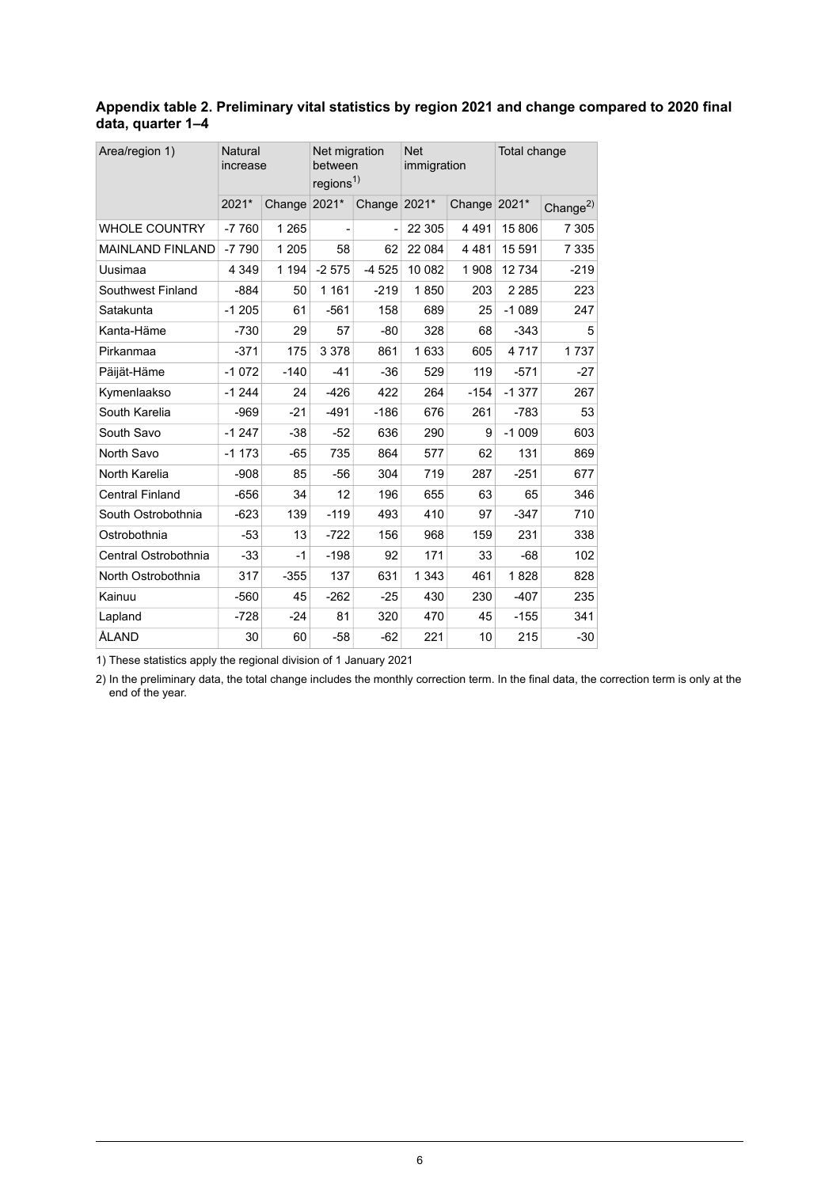#### <span id="page-5-0"></span>**Appendix table 2. Preliminary vital statistics by region 2021 and change compared to 2020 final data, quarter 1–4**

| Area/region 1)          | Natural<br>increase |         | Net migration<br>between<br>regions <sup>1)</sup> |         | <b>Net</b><br>immigration |              | Total change |                |
|-------------------------|---------------------|---------|---------------------------------------------------|---------|---------------------------|--------------|--------------|----------------|
|                         | 2021*               | Change  | 2021*                                             | Change  | 2021*                     | Change 2021* |              | Change $^{2)}$ |
| <b>WHOLE COUNTRY</b>    | $-7760$             | 1 2 6 5 |                                                   |         | 22 305                    | 4 4 9 1      | 15 806       | 7 3 0 5        |
| <b>MAINLAND FINLAND</b> | $-7790$             | 1 2 0 5 | 58                                                | 62      | 22 084                    | 4 4 8 1      | 15 5 91      | 7 3 3 5        |
| Uusimaa                 | 4 3 4 9             | 1 1 9 4 | $-2575$                                           | $-4525$ | 10 082                    | 1908         | 12734        | $-219$         |
| Southwest Finland       | $-884$              | 50      | 1 1 6 1                                           | $-219$  | 1850                      | 203          | 2 2 8 5      | 223            |
| Satakunta               | $-1205$             | 61      | $-561$                                            | 158     | 689                       | 25           | $-1089$      | 247            |
| Kanta-Häme              | $-730$              | 29      | 57                                                | $-80$   | 328                       | 68           | $-343$       | 5              |
| Pirkanmaa               | $-371$              | 175     | 3 3 7 8                                           | 861     | 1633                      | 605          | 4717         | 1737           |
| Päijät-Häme             | $-1072$             | $-140$  | $-41$                                             | $-36$   | 529                       | 119          | $-571$       | -27            |
| Kymenlaakso             | $-1244$             | 24      | $-426$                                            | 422     | 264                       | $-154$       | $-1377$      | 267            |
| South Karelia           | $-969$              | $-21$   | $-491$                                            | $-186$  | 676                       | 261          | $-783$       | 53             |
| South Savo              | $-1247$             | $-38$   | $-52$                                             | 636     | 290                       | 9            | $-1009$      | 603            |
| North Savo              | $-1173$             | $-65$   | 735                                               | 864     | 577                       | 62           | 131          | 869            |
| North Karelia           | $-908$              | 85      | -56                                               | 304     | 719                       | 287          | $-251$       | 677            |
| <b>Central Finland</b>  | $-656$              | 34      | 12                                                | 196     | 655                       | 63           | 65           | 346            |
| South Ostrobothnia      | $-623$              | 139     | $-119$                                            | 493     | 410                       | 97           | $-347$       | 710            |
| Ostrobothnia            | -53                 | 13      | $-722$                                            | 156     | 968                       | 159          | 231          | 338            |
| Central Ostrobothnia    | -33                 | $-1$    | $-198$                                            | 92      | 171                       | 33           | -68          | 102            |
| North Ostrobothnia      | 317                 | $-355$  | 137                                               | 631     | 1 3 4 3                   | 461          | 1828         | 828            |
| Kainuu                  | $-560$              | 45      | $-262$                                            | $-25$   | 430                       | 230          | $-407$       | 235            |
| Lapland                 | $-728$              | $-24$   | 81                                                | 320     | 470                       | 45           | $-155$       | 341            |
| ÅLAND                   | 30                  | 60      | -58                                               | $-62$   | 221                       | 10           | 215          | $-30$          |

1) These statistics apply the regional division of 1 January 2021

2) In the preliminary data, the total change includes the monthly correction term. In the final data, the correction term is only at the end of the year.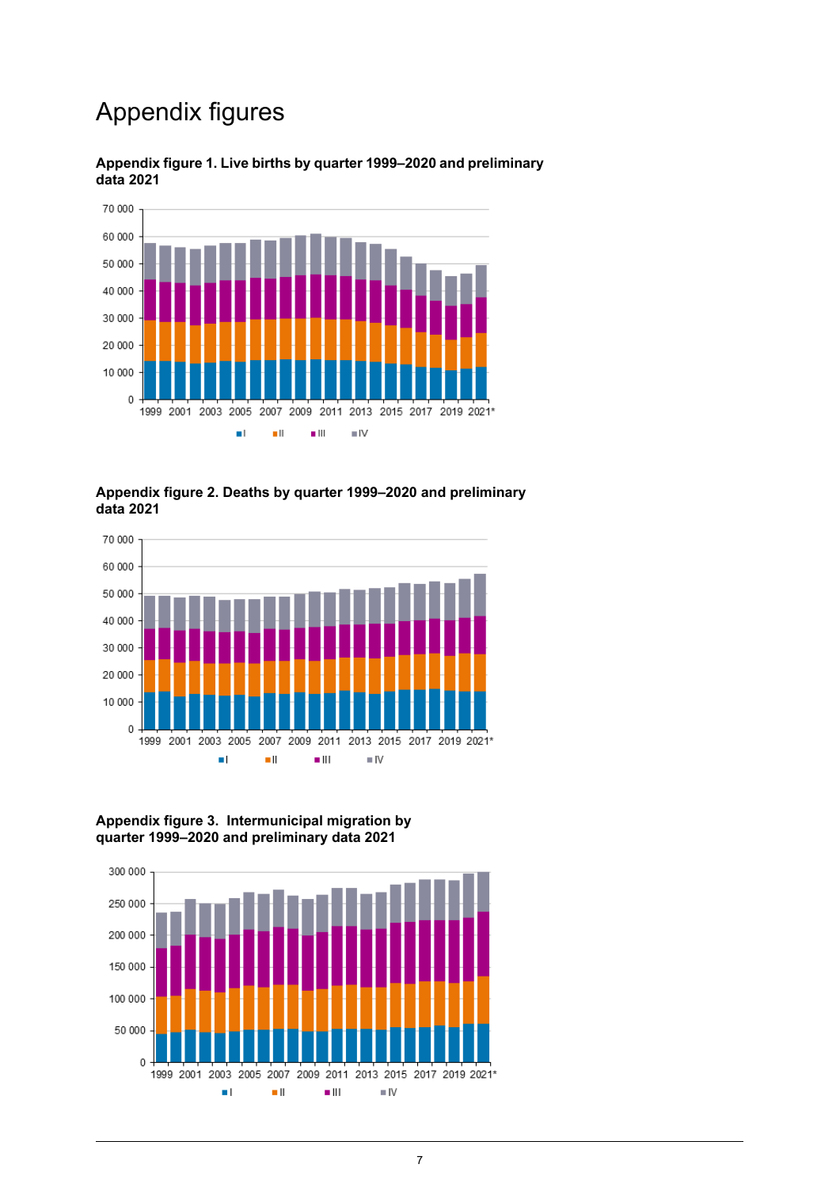## Appendix figures



#### <span id="page-6-0"></span>**Appendix figure 1. Live births by quarter 1999–2020 and preliminary data 2021**

#### <span id="page-6-1"></span>**Appendix figure 2. Deaths by quarter 1999–2020 and preliminary data 2021**



#### <span id="page-6-2"></span>**Appendix figure 3. Intermunicipal migration by quarter 1999–2020 and preliminary data 2021**

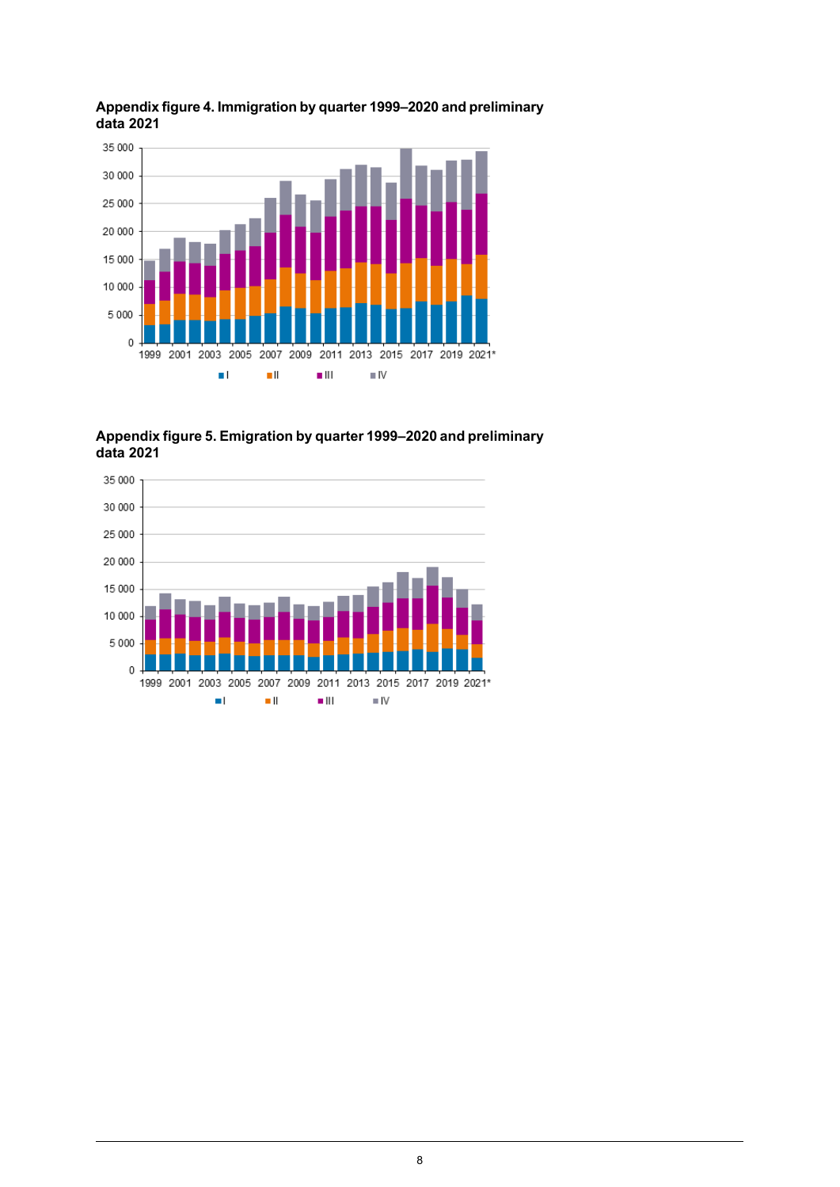

#### <span id="page-7-0"></span>**Appendixfigure4. Immigration by quarter1999–2020and preliminary data 2021**

<span id="page-7-1"></span>**Appendixfigure5. Emigration by quarter1999–2020and preliminary data 2021**